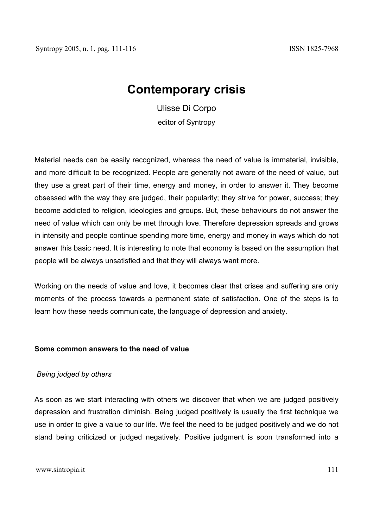# **Contemporary crisis**

Ulisse Di Corpo editor of Syntropy

Material needs can be easily recognized, whereas the need of value is immaterial, invisible, and more difficult to be recognized. People are generally not aware of the need of value, but they use a great part of their time, energy and money, in order to answer it. They become obsessed with the way they are judged, their popularity; they strive for power, success; they become addicted to religion, ideologies and groups. But, these behaviours do not answer the need of value which can only be met through love. Therefore depression spreads and grows in intensity and people continue spending more time, energy and money in ways which do not answer this basic need. It is interesting to note that economy is based on the assumption that people will be always unsatisfied and that they will always want more.

Working on the needs of value and love, it becomes clear that crises and suffering are only moments of the process towards a permanent state of satisfaction. One of the steps is to learn how these needs communicate, the language of depression and anxiety.

## **Some common answers to the need of value**

## *Being judged by others*

As soon as we start interacting with others we discover that when we are judged positively depression and frustration diminish. Being judged positively is usually the first technique we use in order to give a value to our life. We feel the need to be judged positively and we do not stand being criticized or judged negatively. Positive judgment is soon transformed into a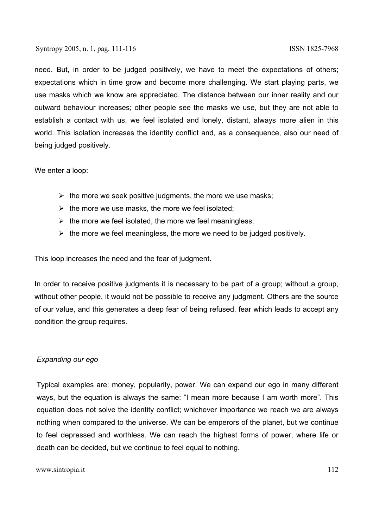need. But, in order to be judged positively, we have to meet the expectations of others; expectations which in time grow and become more challenging. We start playing parts, we use masks which we know are appreciated. The distance between our inner reality and our outward behaviour increases; other people see the masks we use, but they are not able to establish a contact with us, we feel isolated and lonely, distant, always more alien in this world. This isolation increases the identity conflict and, as a consequence, also our need of being judged positively.

We enter a loop:

- $\triangleright$  the more we seek positive judgments, the more we use masks;
- $\triangleright$  the more we use masks, the more we feel isolated;
- $\triangleright$  the more we feel isolated, the more we feel meaningless;
- $\triangleright$  the more we feel meaningless, the more we need to be judged positively.

This loop increases the need and the fear of judgment.

In order to receive positive judgments it is necessary to be part of a group; without a group, without other people, it would not be possible to receive any judgment. Others are the source of our value, and this generates a deep fear of being refused, fear which leads to accept any condition the group requires.

## *Expanding our ego*

Typical examples are: money, popularity, power. We can expand our ego in many different ways, but the equation is always the same: "I mean more because I am worth more". This equation does not solve the identity conflict; whichever importance we reach we are always nothing when compared to the universe. We can be emperors of the planet, but we continue to feel depressed and worthless. We can reach the highest forms of power, where life or death can be decided, but we continue to feel equal to nothing.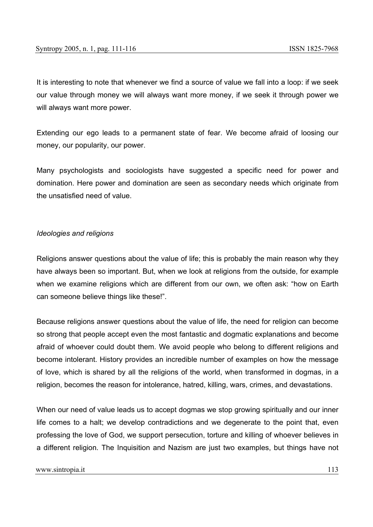It is interesting to note that whenever we find a source of value we fall into a loop: if we seek our value through money we will always want more money, if we seek it through power we will always want more power.

Extending our ego leads to a permanent state of fear. We become afraid of loosing our money, our popularity, our power.

Many psychologists and sociologists have suggested a specific need for power and domination. Here power and domination are seen as secondary needs which originate from the unsatisfied need of value.

### *Ideologies and religions*

Religions answer questions about the value of life; this is probably the main reason why they have always been so important. But, when we look at religions from the outside, for example when we examine religions which are different from our own, we often ask: "how on Earth can someone believe things like these!".

Because religions answer questions about the value of life, the need for religion can become so strong that people accept even the most fantastic and dogmatic explanations and become afraid of whoever could doubt them. We avoid people who belong to different religions and become intolerant. History provides an incredible number of examples on how the message of love, which is shared by all the religions of the world, when transformed in dogmas, in a religion, becomes the reason for intolerance, hatred, killing, wars, crimes, and devastations.

When our need of value leads us to accept dogmas we stop growing spiritually and our inner life comes to a halt; we develop contradictions and we degenerate to the point that, even professing the love of God, we support persecution, torture and killing of whoever believes in a different religion. The Inquisition and Nazism are just two examples, but things have not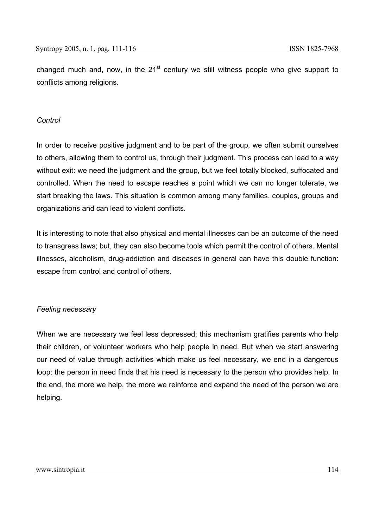changed much and, now, in the  $21<sup>st</sup>$  century we still witness people who give support to conflicts among religions.

## *Control*

In order to receive positive judgment and to be part of the group, we often submit ourselves to others, allowing them to control us, through their judgment. This process can lead to a way without exit: we need the judgment and the group, but we feel totally blocked, suffocated and controlled. When the need to escape reaches a point which we can no longer tolerate, we start breaking the laws. This situation is common among many families, couples, groups and organizations and can lead to violent conflicts.

It is interesting to note that also physical and mental illnesses can be an outcome of the need to transgress laws; but, they can also become tools which permit the control of others. Mental illnesses, alcoholism, drug-addiction and diseases in general can have this double function: escape from control and control of others.

## *Feeling necessary*

When we are necessary we feel less depressed; this mechanism gratifies parents who help their children, or volunteer workers who help people in need. But when we start answering our need of value through activities which make us feel necessary, we end in a dangerous loop: the person in need finds that his need is necessary to the person who provides help. In the end, the more we help, the more we reinforce and expand the need of the person we are helping.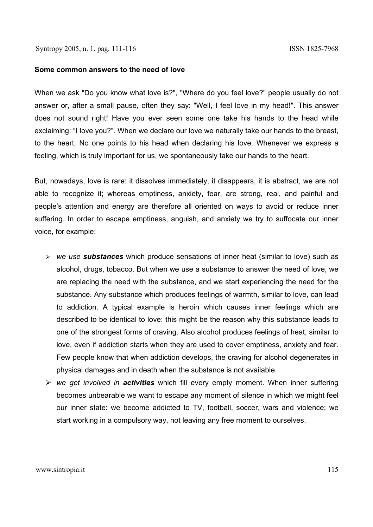#### **Some common answers to the need of love**

When we ask "Do you know what love is?", "Where do you feel love?" people usually do not answer or, after a small pause, often they say: "Well, I feel love in my head!". This answer does not sound right! Have you ever seen some one take his hands to the head while exclaiming: "I love you?". When we declare our love we naturally take our hands to the breast, to the heart. No one points to his head when declaring his love. Whenever we express a feeling, which is truly important for us, we spontaneously take our hands to the heart.

But, nowadays, love is rare: it dissolves immediately, it disappears, it is abstract, we are not able to recognize it; whereas emptiness, anxiety, fear, are strong, real, and painful and people's attention and energy are therefore all oriented on ways to avoid or reduce inner suffering. In order to escape emptiness, anguish, and anxiety we try to suffocate our inner voice, for example:

- ¾ *we use substances* which produce sensations of inner heat (similar to love) such as alcohol, drugs, tobacco. But when we use a substance to answer the need of love, we are replacing the need with the substance, and we start experiencing the need for the substance. Any substance which produces feelings of warmth, similar to love, can lead to addiction. A typical example is heroin which causes inner feelings which are described to be identical to love: this might be the reason why this substance leads to one of the strongest forms of craving. Also alcohol produces feelings of heat, similar to love, even if addiction starts when they are used to cover emptiness, anxiety and fear. Few people know that when addiction develops, the craving for alcohol degenerates in physical damages and in death when the substance is not available.
- ¾ *we get involved in activities* which fill every empty moment. When inner suffering becomes unbearable we want to escape any moment of silence in which we might feel our inner state: we become addicted to TV, football, soccer, wars and violence; we start working in a compulsory way, not leaving any free moment to ourselves.